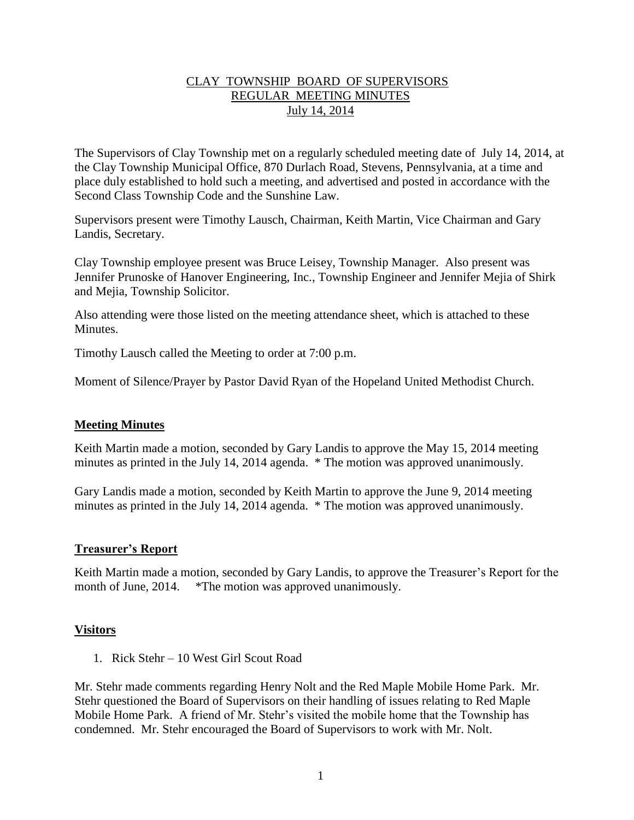### CLAY TOWNSHIP BOARD OF SUPERVISORS REGULAR MEETING MINUTES July 14, 2014

The Supervisors of Clay Township met on a regularly scheduled meeting date of July 14, 2014, at the Clay Township Municipal Office, 870 Durlach Road, Stevens, Pennsylvania, at a time and place duly established to hold such a meeting, and advertised and posted in accordance with the Second Class Township Code and the Sunshine Law.

Supervisors present were Timothy Lausch, Chairman, Keith Martin, Vice Chairman and Gary Landis, Secretary.

Clay Township employee present was Bruce Leisey, Township Manager. Also present was Jennifer Prunoske of Hanover Engineering, Inc., Township Engineer and Jennifer Mejia of Shirk and Mejia, Township Solicitor.

Also attending were those listed on the meeting attendance sheet, which is attached to these **Minutes** 

Timothy Lausch called the Meeting to order at 7:00 p.m.

Moment of Silence/Prayer by Pastor David Ryan of the Hopeland United Methodist Church.

### **Meeting Minutes**

Keith Martin made a motion, seconded by Gary Landis to approve the May 15, 2014 meeting minutes as printed in the July 14, 2014 agenda. \* The motion was approved unanimously.

Gary Landis made a motion, seconded by Keith Martin to approve the June 9, 2014 meeting minutes as printed in the July 14, 2014 agenda. \* The motion was approved unanimously.

### **Treasurer's Report**

Keith Martin made a motion, seconded by Gary Landis, to approve the Treasurer's Report for the month of June, 2014. \*The motion was approved unanimously.

### **Visitors**

1. Rick Stehr – 10 West Girl Scout Road

Mr. Stehr made comments regarding Henry Nolt and the Red Maple Mobile Home Park. Mr. Stehr questioned the Board of Supervisors on their handling of issues relating to Red Maple Mobile Home Park. A friend of Mr. Stehr's visited the mobile home that the Township has condemned. Mr. Stehr encouraged the Board of Supervisors to work with Mr. Nolt.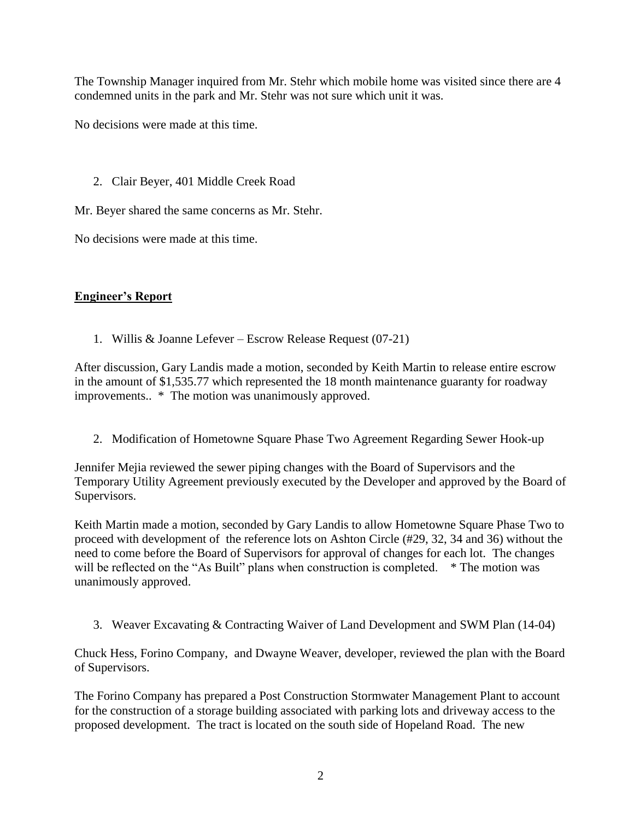The Township Manager inquired from Mr. Stehr which mobile home was visited since there are 4 condemned units in the park and Mr. Stehr was not sure which unit it was.

No decisions were made at this time.

2. Clair Beyer, 401 Middle Creek Road

Mr. Beyer shared the same concerns as Mr. Stehr.

No decisions were made at this time.

# **Engineer's Report**

1. Willis & Joanne Lefever – Escrow Release Request (07-21)

After discussion, Gary Landis made a motion, seconded by Keith Martin to release entire escrow in the amount of \$1,535.77 which represented the 18 month maintenance guaranty for roadway improvements.. \* The motion was unanimously approved.

2. Modification of Hometowne Square Phase Two Agreement Regarding Sewer Hook-up

Jennifer Mejia reviewed the sewer piping changes with the Board of Supervisors and the Temporary Utility Agreement previously executed by the Developer and approved by the Board of Supervisors.

Keith Martin made a motion, seconded by Gary Landis to allow Hometowne Square Phase Two to proceed with development of the reference lots on Ashton Circle (#29, 32, 34 and 36) without the need to come before the Board of Supervisors for approval of changes for each lot. The changes will be reflected on the "As Built" plans when construction is completed. \* The motion was unanimously approved.

3. Weaver Excavating & Contracting Waiver of Land Development and SWM Plan (14-04)

Chuck Hess, Forino Company, and Dwayne Weaver, developer, reviewed the plan with the Board of Supervisors.

The Forino Company has prepared a Post Construction Stormwater Management Plant to account for the construction of a storage building associated with parking lots and driveway access to the proposed development. The tract is located on the south side of Hopeland Road. The new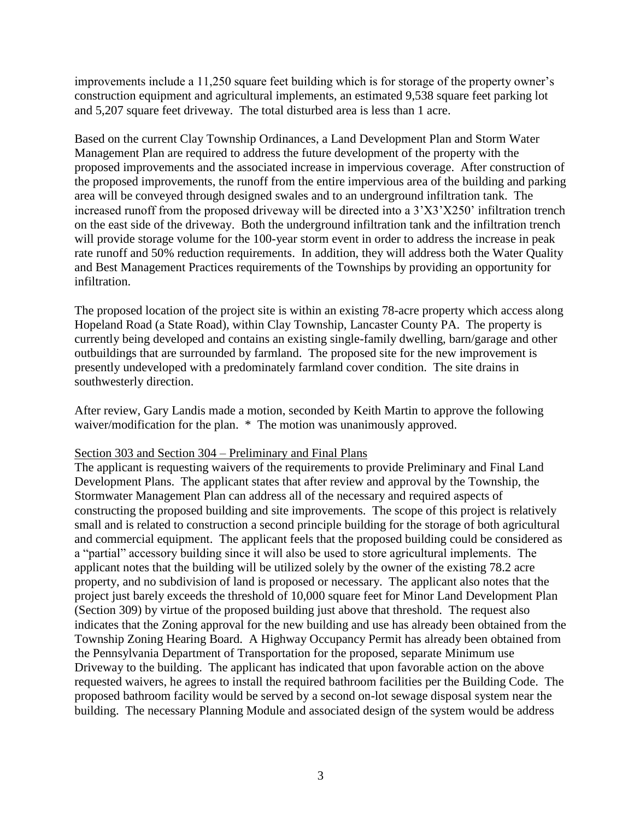improvements include a 11,250 square feet building which is for storage of the property owner's construction equipment and agricultural implements, an estimated 9,538 square feet parking lot and 5,207 square feet driveway. The total disturbed area is less than 1 acre.

Based on the current Clay Township Ordinances, a Land Development Plan and Storm Water Management Plan are required to address the future development of the property with the proposed improvements and the associated increase in impervious coverage. After construction of the proposed improvements, the runoff from the entire impervious area of the building and parking area will be conveyed through designed swales and to an underground infiltration tank. The increased runoff from the proposed driveway will be directed into a 3'X3'X250' infiltration trench on the east side of the driveway. Both the underground infiltration tank and the infiltration trench will provide storage volume for the 100-year storm event in order to address the increase in peak rate runoff and 50% reduction requirements. In addition, they will address both the Water Quality and Best Management Practices requirements of the Townships by providing an opportunity for infiltration.

The proposed location of the project site is within an existing 78-acre property which access along Hopeland Road (a State Road), within Clay Township, Lancaster County PA. The property is currently being developed and contains an existing single-family dwelling, barn/garage and other outbuildings that are surrounded by farmland. The proposed site for the new improvement is presently undeveloped with a predominately farmland cover condition. The site drains in southwesterly direction.

After review, Gary Landis made a motion, seconded by Keith Martin to approve the following waiver/modification for the plan. \* The motion was unanimously approved.

### Section 303 and Section 304 – Preliminary and Final Plans

The applicant is requesting waivers of the requirements to provide Preliminary and Final Land Development Plans. The applicant states that after review and approval by the Township, the Stormwater Management Plan can address all of the necessary and required aspects of constructing the proposed building and site improvements. The scope of this project is relatively small and is related to construction a second principle building for the storage of both agricultural and commercial equipment. The applicant feels that the proposed building could be considered as a "partial" accessory building since it will also be used to store agricultural implements. The applicant notes that the building will be utilized solely by the owner of the existing 78.2 acre property, and no subdivision of land is proposed or necessary. The applicant also notes that the project just barely exceeds the threshold of 10,000 square feet for Minor Land Development Plan (Section 309) by virtue of the proposed building just above that threshold. The request also indicates that the Zoning approval for the new building and use has already been obtained from the Township Zoning Hearing Board. A Highway Occupancy Permit has already been obtained from the Pennsylvania Department of Transportation for the proposed, separate Minimum use Driveway to the building. The applicant has indicated that upon favorable action on the above requested waivers, he agrees to install the required bathroom facilities per the Building Code. The proposed bathroom facility would be served by a second on-lot sewage disposal system near the building. The necessary Planning Module and associated design of the system would be address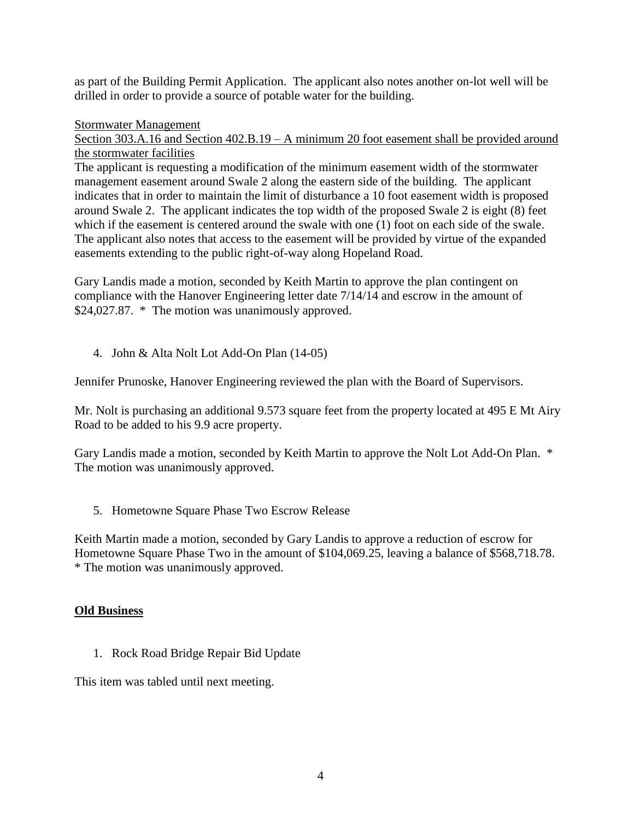as part of the Building Permit Application. The applicant also notes another on-lot well will be drilled in order to provide a source of potable water for the building.

### Stormwater Management

Section 303.A.16 and Section 402.B.19 – A minimum 20 foot easement shall be provided around the stormwater facilities

The applicant is requesting a modification of the minimum easement width of the stormwater management easement around Swale 2 along the eastern side of the building. The applicant indicates that in order to maintain the limit of disturbance a 10 foot easement width is proposed around Swale 2. The applicant indicates the top width of the proposed Swale 2 is eight (8) feet which if the easement is centered around the swale with one (1) foot on each side of the swale. The applicant also notes that access to the easement will be provided by virtue of the expanded easements extending to the public right-of-way along Hopeland Road.

Gary Landis made a motion, seconded by Keith Martin to approve the plan contingent on compliance with the Hanover Engineering letter date 7/14/14 and escrow in the amount of \$24,027.87. \* The motion was unanimously approved.

4. John & Alta Nolt Lot Add-On Plan (14-05)

Jennifer Prunoske, Hanover Engineering reviewed the plan with the Board of Supervisors.

Mr. Nolt is purchasing an additional 9.573 square feet from the property located at 495 E Mt Airy Road to be added to his 9.9 acre property.

Gary Landis made a motion, seconded by Keith Martin to approve the Nolt Lot Add-On Plan. \* The motion was unanimously approved.

5. Hometowne Square Phase Two Escrow Release

Keith Martin made a motion, seconded by Gary Landis to approve a reduction of escrow for Hometowne Square Phase Two in the amount of \$104,069.25, leaving a balance of \$568,718.78. \* The motion was unanimously approved.

### **Old Business**

1. Rock Road Bridge Repair Bid Update

This item was tabled until next meeting.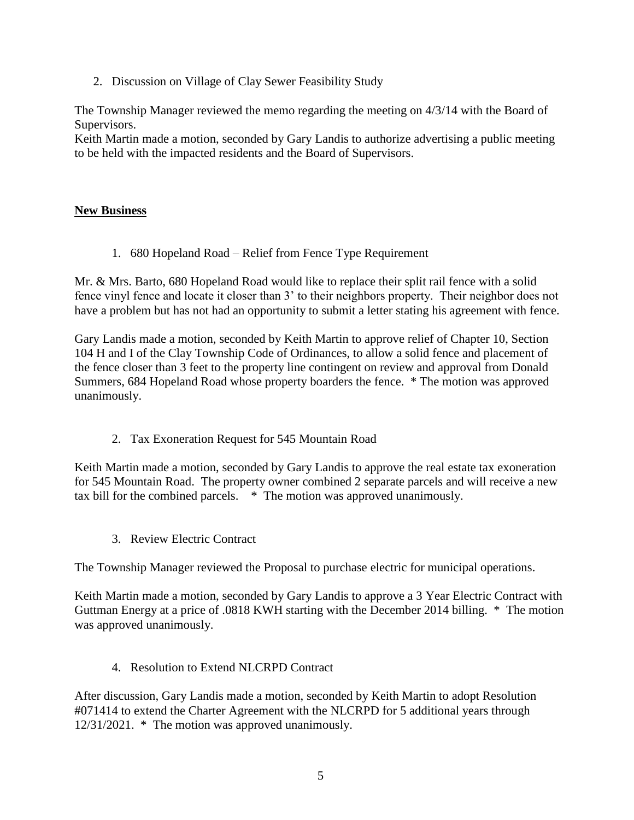2. Discussion on Village of Clay Sewer Feasibility Study

The Township Manager reviewed the memo regarding the meeting on 4/3/14 with the Board of Supervisors.

Keith Martin made a motion, seconded by Gary Landis to authorize advertising a public meeting to be held with the impacted residents and the Board of Supervisors.

### **New Business**

1. 680 Hopeland Road – Relief from Fence Type Requirement

Mr. & Mrs. Barto, 680 Hopeland Road would like to replace their split rail fence with a solid fence vinyl fence and locate it closer than 3' to their neighbors property. Their neighbor does not have a problem but has not had an opportunity to submit a letter stating his agreement with fence.

Gary Landis made a motion, seconded by Keith Martin to approve relief of Chapter 10, Section 104 H and I of the Clay Township Code of Ordinances, to allow a solid fence and placement of the fence closer than 3 feet to the property line contingent on review and approval from Donald Summers, 684 Hopeland Road whose property boarders the fence. \* The motion was approved unanimously.

2. Tax Exoneration Request for 545 Mountain Road

Keith Martin made a motion, seconded by Gary Landis to approve the real estate tax exoneration for 545 Mountain Road. The property owner combined 2 separate parcels and will receive a new tax bill for the combined parcels. \* The motion was approved unanimously.

3. Review Electric Contract

The Township Manager reviewed the Proposal to purchase electric for municipal operations.

Keith Martin made a motion, seconded by Gary Landis to approve a 3 Year Electric Contract with Guttman Energy at a price of .0818 KWH starting with the December 2014 billing. \* The motion was approved unanimously.

### 4. Resolution to Extend NLCRPD Contract

After discussion, Gary Landis made a motion, seconded by Keith Martin to adopt Resolution #071414 to extend the Charter Agreement with the NLCRPD for 5 additional years through 12/31/2021. \* The motion was approved unanimously.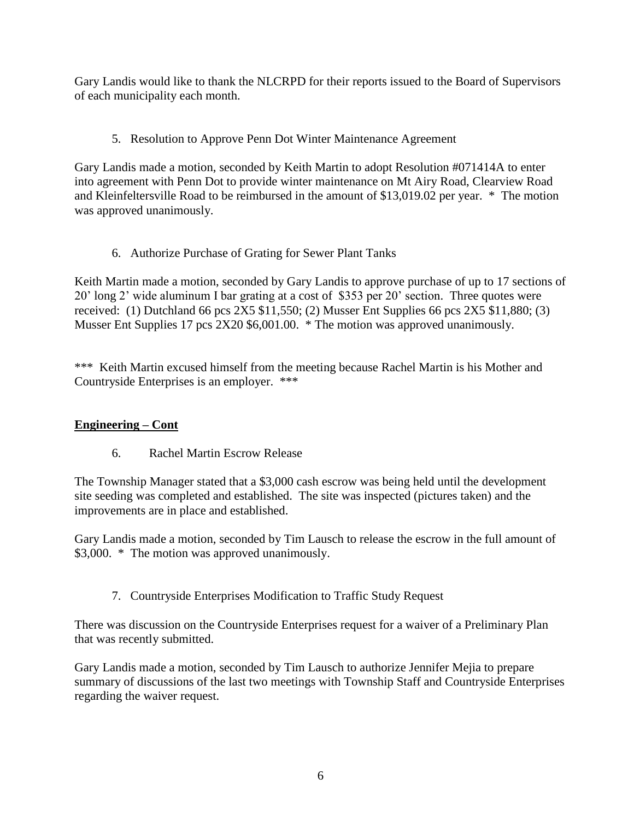Gary Landis would like to thank the NLCRPD for their reports issued to the Board of Supervisors of each municipality each month.

# 5. Resolution to Approve Penn Dot Winter Maintenance Agreement

Gary Landis made a motion, seconded by Keith Martin to adopt Resolution #071414A to enter into agreement with Penn Dot to provide winter maintenance on Mt Airy Road, Clearview Road and Kleinfeltersville Road to be reimbursed in the amount of \$13,019.02 per year. \* The motion was approved unanimously.

# 6. Authorize Purchase of Grating for Sewer Plant Tanks

Keith Martin made a motion, seconded by Gary Landis to approve purchase of up to 17 sections of 20' long 2' wide aluminum I bar grating at a cost of \$353 per 20' section. Three quotes were received: (1) Dutchland 66 pcs  $2X5$  \$11,550; (2) Musser Ent Supplies 66 pcs  $2X5$  \$11,880; (3) Musser Ent Supplies 17 pcs 2X20 \$6,001.00. \* The motion was approved unanimously.

\*\*\* Keith Martin excused himself from the meeting because Rachel Martin is his Mother and Countryside Enterprises is an employer. \*\*\*

# **Engineering – Cont**

6. Rachel Martin Escrow Release

The Township Manager stated that a \$3,000 cash escrow was being held until the development site seeding was completed and established. The site was inspected (pictures taken) and the improvements are in place and established.

Gary Landis made a motion, seconded by Tim Lausch to release the escrow in the full amount of \$3,000. \* The motion was approved unanimously.

7. Countryside Enterprises Modification to Traffic Study Request

There was discussion on the Countryside Enterprises request for a waiver of a Preliminary Plan that was recently submitted.

Gary Landis made a motion, seconded by Tim Lausch to authorize Jennifer Mejia to prepare summary of discussions of the last two meetings with Township Staff and Countryside Enterprises regarding the waiver request.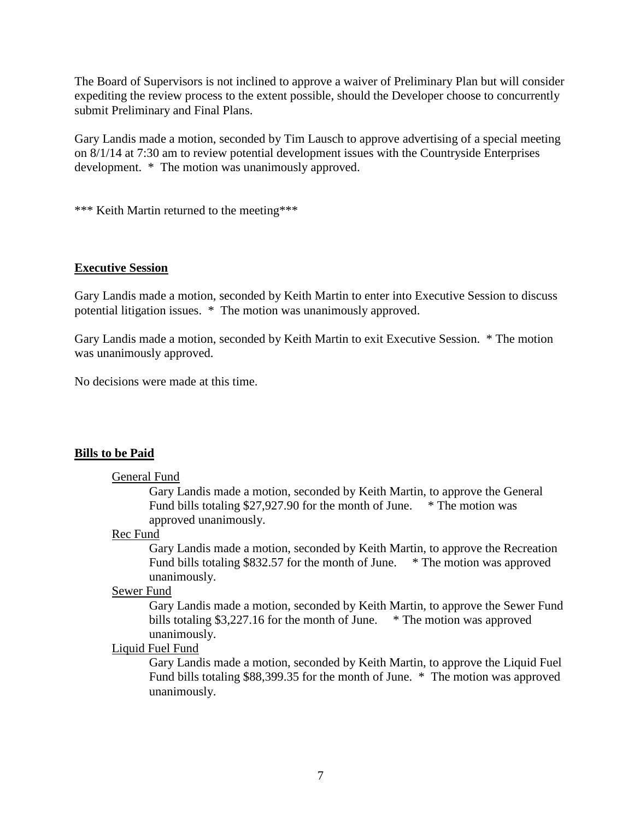The Board of Supervisors is not inclined to approve a waiver of Preliminary Plan but will consider expediting the review process to the extent possible, should the Developer choose to concurrently submit Preliminary and Final Plans.

Gary Landis made a motion, seconded by Tim Lausch to approve advertising of a special meeting on 8/1/14 at 7:30 am to review potential development issues with the Countryside Enterprises development. \* The motion was unanimously approved.

\*\*\* Keith Martin returned to the meeting\*\*\*

### **Executive Session**

Gary Landis made a motion, seconded by Keith Martin to enter into Executive Session to discuss potential litigation issues. \* The motion was unanimously approved.

Gary Landis made a motion, seconded by Keith Martin to exit Executive Session. \* The motion was unanimously approved.

No decisions were made at this time.

### **Bills to be Paid**

#### General Fund

Gary Landis made a motion, seconded by Keith Martin, to approve the General Fund bills totaling \$27,927.90 for the month of June. \* The motion was approved unanimously.

#### Rec Fund

Gary Landis made a motion, seconded by Keith Martin, to approve the Recreation Fund bills totaling \$832.57 for the month of June. \* The motion was approved unanimously.

### Sewer Fund

Gary Landis made a motion, seconded by Keith Martin, to approve the Sewer Fund bills totaling \$3,227.16 for the month of June. \* The motion was approved unanimously.

#### Liquid Fuel Fund

Gary Landis made a motion, seconded by Keith Martin, to approve the Liquid Fuel Fund bills totaling \$88,399.35 for the month of June. \* The motion was approved unanimously.